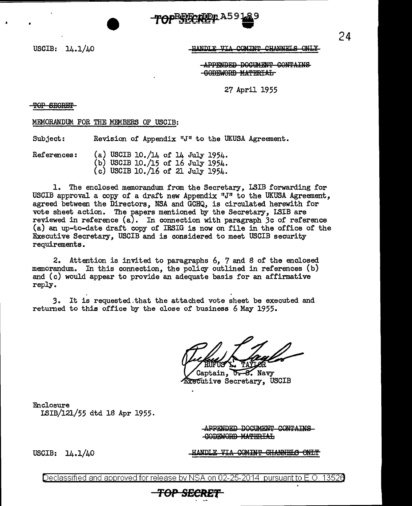USCIB: 14.1/40

#### HANDLE VIA COMINT CHANNELS ONLY

24

**APPENDED DOCUMENT CONTAINS** -GODEWORD MATERIAL

27 April 1955

TOP SECRET

MEMORANDUM. FOR THE MEMBERS OF USCIB:

Subject: Revision of Appendix "J" to the UKUSA Agreement.

References: (a) USCIB 10./14 of 14 July 1954. (b) USCIB 10./15 of 16 July 1954. (c) USCIB 10./16 of 21 July 1954.

1. The enclosed memorandum. from the Secretary, I.SIB forwarding for USCIB approval a copy of a draft new Appendix "J" to the UKUSA Agreement. agreed between the Directors, NSA and GCHQ, is circulated herewith for vote sheet action. The papers mentioned by the Secretary, LSIB are reviewed in reference (a). In connection with paragraph Jc of reference (a) an up-to-date draft copy of IR.SIG is now on file in the office of the Executive Secretary, USCIB and is considered to meet USCIB security requirements.

2. Attention is invited to paragraphs 6, 7 and B of the enclosed memorandum. In this connection, the policy outlined in references (b) and (c) would appear to provide an adequate basis for an affirmative reply.

3. It is requested.that the attached vote sheet be executed and returned to this office by the close of business 6 May 1955.

Captain, 0.8. Navy **Executive Secretary, USCIB** 

**Enclosure** LSIB/121/55 dtd lB Apr 1955.

> APPENDED DOCUMENT CONTAINS GODEWORD MATERIAL

USCIB: 14.1/40

### IANDLE VIA COMINT GHANNELS

Declassified and approved for release by NSA on 02-25-2014 pursuant to E.O. 13526

*TOP S£CltEf*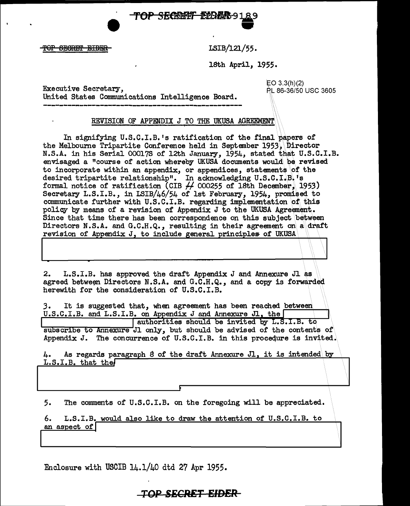TOP SECRET EDRAS 91 e<br>O

TOP SECRET EIDER

0

└

LSIB/121/55.

18th April, 1955.

Executive Secretary,  $\overline{E}$  EO 3.3(h)(2) EO 3.3(h)(2) United States Communications Intelligence Board.

RL 86-36/50 USC 3605

### REVISION OF APPENDIX J TO THE UKUSA AGREEMENT

In signifying U.S.C.I.B.'s ratification of the final papers of the Melbourne Tripartite Conference held in September 1953, Director N.S.A. in his Serial 000175 of 12th January, 1954, stated that U.S.C.I.B. envisaged a "course of action whereby UKUSA documents would\ 'be revised to incorporate within an appendix, or appendices, statements \of the desired tripartite relationship". In acknowledging U.S.C.I.B.'s formal notice of ratification (CIB  $\overline{H}$  000255 of 18th December, 1953) Secretary L.S.I.B., in LSIB/46/54 of 1st February, 1954, promised to communicate further with  $U.S.C.I.B.$  regarding implementation of this policy by means of a revision of Appendix J to the UKUSA Agreement. Since that time there has been correspondence on this subject between Directors N.S.A. and G.C.H.Q., resulting in their agreement on a draft revision of Appendix J, to include general principles of UKUSA

2. L.S.I.B. has approved the draft Appendix J and Annexure Jl as agreed between Directors N.S.A. and G.C.H.Q., and a copy is forwarded herewith for the consideration of U.S.C.I.B.

*3.* It is suggested that, when agreement has been reached between.  $U.S.C.I.B.$  and  $L.S.I.B.$  on Appendix J and Annexure J1, the

authorities should be invited by L.S.I.B. to  $\overline{\text{subscribe to Annexure}}$  Jl only, but should be advised of the contents of Appendix J. The concurrence of U.S.C.I.B. in this procedure is invited.

4. As regards paragraph 8 of the draft Annexure J1, it is intended by 4. As regards parties.<br>L.S.I.B. that the \\ \

5. The comments of U.S.C.I.B. on the foregoing will be appreciated.

6. L.S.I.B. would also like to draw the attention of U.S.C.I.B. to an aspect of

Enclosure with USCIB 14.1/40 dtd 27 Apr 1955.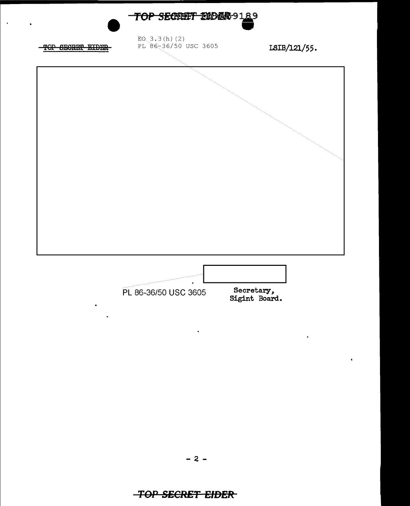

 $\ddot{\phantom{0}}$ 

## $- 2 -$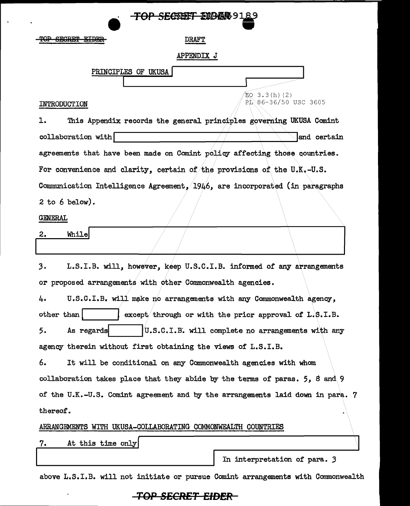| <del>iol Secreti Liders Sta</del>                                                |
|----------------------------------------------------------------------------------|
| <b>SECRET EIDER</b><br><b>DRAFT</b>                                              |
| <b>APPENDIX J</b>                                                                |
| PRINCIPLES OF UKUSA                                                              |
| EO 3.3(h)(2)<br>RD 86-36/50 USC 3605<br>INTRODUCTION                             |
| This Appendix records the general principles governing UKUSA Comint<br>ı.        |
| collaboration with<br>and certain                                                |
| agreements that have been made on Comint policy affecting those countries.       |
| For convenience and clarity, certain of the provisions of the U.K.-U.S.          |
| Communication Intelligence Agreement, 1946, are incorporated (in paragraphs      |
| 2 to 6 below).                                                                   |
| <b>GENERAL</b>                                                                   |
| <b>While</b><br>2.                                                               |
|                                                                                  |
| L.S.I.B. will, however, keep U.S.C.I.B. informed of any arrangements<br>3.       |
| or proposed arrangements with other Commonwealth agencies.                       |
| U.S.C.I.B. will make no arrangements with any Commonwealth agency,<br>4.         |
| other than<br>except through or with the prior approval of $L.S.L.B.$            |
| As regards<br>U.S.C.I.B. will complete no arrangements with any<br>5.            |
| agency therein without first obtaining the views of L.S.I.B.                     |
| 6.<br>It will be conditional on any Commonwealth agencies with whom              |
| collaboration takes place that they abide by the terms of paras. 5, 8 and 9      |
| of the U.K.-U.S. Comint agreement and by the arrangements laid down in para. 7   |
| thereof.                                                                         |
| ARRANGEMENTS WITH UKUSA-COLLABORATING COMMONWEALTH COUNTRIES                     |
| At this time only<br>7.                                                          |
| In interpretation of para. 3                                                     |
| above L.S.I.B. will not initiate or pursue Comint arrangements with Commonwealth |

**Contractor Contractor Contractor** 

 $\ddot{\phantom{a}}$ 

l,

# **TOP SECRET EIDER**

 $\ddot{\phantom{1}}$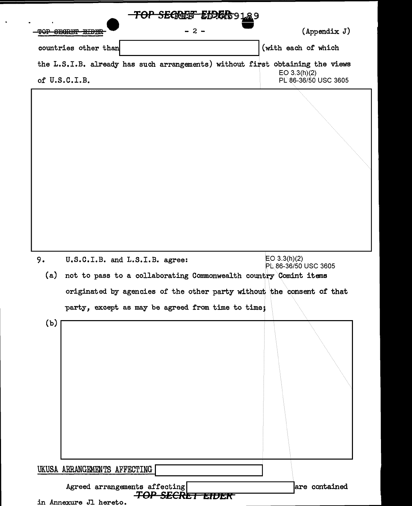| (with each of which<br>countries other than<br>the L.S.I.B. already has such arrangements) without first obtaining the views<br>$EO$ 3.3(h)(2)<br>of U.S.C.I.B.<br>PL 86-36/50 USC 3605<br>EO 3.3(h)(2)<br>9.<br>U.S.C.I.B. and L.S.I.B. agree:<br>PL 86-36/50 USC 3605<br>(a)<br>not to pass to a collaborating Commonwealth country Comint items<br>originated by agencies of the other party without the consent of that<br>party, except as may be agreed from time to time;<br>(b)<br>UKUSA ARRANGEMENTS AFFECTING | - 2 - | $(\text{Appendix } J)$ |
|-------------------------------------------------------------------------------------------------------------------------------------------------------------------------------------------------------------------------------------------------------------------------------------------------------------------------------------------------------------------------------------------------------------------------------------------------------------------------------------------------------------------------|-------|------------------------|
|                                                                                                                                                                                                                                                                                                                                                                                                                                                                                                                         |       |                        |
|                                                                                                                                                                                                                                                                                                                                                                                                                                                                                                                         |       |                        |
|                                                                                                                                                                                                                                                                                                                                                                                                                                                                                                                         |       |                        |
|                                                                                                                                                                                                                                                                                                                                                                                                                                                                                                                         |       |                        |
|                                                                                                                                                                                                                                                                                                                                                                                                                                                                                                                         |       |                        |
|                                                                                                                                                                                                                                                                                                                                                                                                                                                                                                                         |       |                        |
|                                                                                                                                                                                                                                                                                                                                                                                                                                                                                                                         |       |                        |

 $\ddot{\phantom{1}}$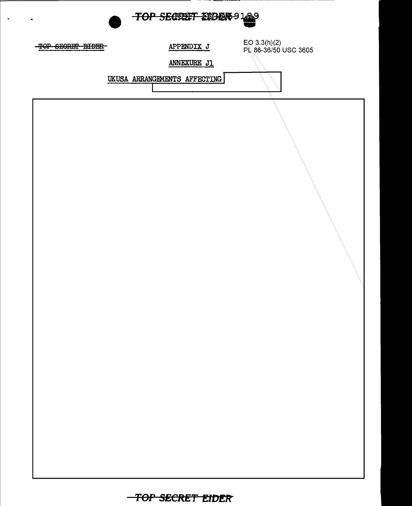

 $\ddot{\phantom{a}}$